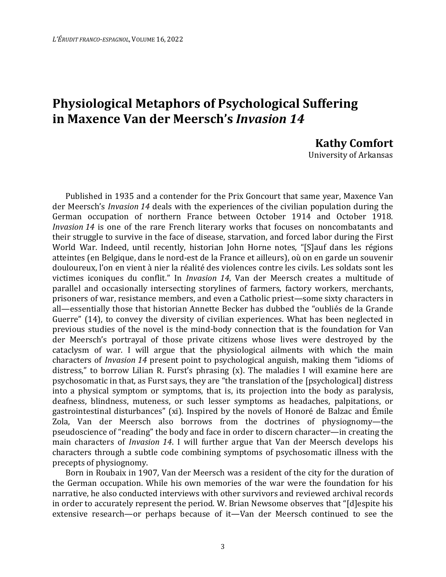## **Physiological Metaphors of Psychological Suffering in Maxence Van der Meersch's** *Invasion 14*

**Kathy Comfort** 

University of Arkansas

Published in 1935 and a contender for the Prix Goncourt that same year, Maxence Van der Meersch's *Invasion 14* deals with the experiences of the civilian population during the German occupation of northern France between October 1914 and October 1918. *Invasion 14* is one of the rare French literary works that focuses on noncombatants and their struggle to survive in the face of disease, starvation, and forced labor during the First World War. Indeed, until recently, historian John Horne notes, "[S]auf dans les régions atteintes (en Belgique, dans le nord-est de la France et ailleurs), où on en garde un souvenir douloureux, l'on en vient à nier la réalité des violences contre les civils. Les soldats sont les victimes iconiques du conflit." In *Invasion 14*, Van der Meersch creates a multitude of parallel and occasionally intersecting storylines of farmers, factory workers, merchants, prisoners of war, resistance members, and even a Catholic priest—some sixty characters in all—essentially those that historian Annette Becker has dubbed the "oubliés de la Grande Guerre" (14), to convey the diversity of civilian experiences. What has been neglected in previous studies of the novel is the mind-body connection that is the foundation for Van der Meersch's portrayal of those private citizens whose lives were destroyed by the cataclysm of war. I will argue that the physiological ailments with which the main characters of *Invasion 14* present point to psychological anguish, making them "idioms of distress," to borrow Lilian R. Furst's phrasing (x). The maladies I will examine here are psychosomatic in that, as Furst says, they are "the translation of the [psychological] distress into a physical symptom or symptoms, that is, its projection into the body as paralysis, deafness, blindness, muteness, or such lesser symptoms as headaches, palpitations, or gastrointestinal disturbances" (xi). Inspired by the novels of Honoré de Balzac and Émile Zola, Van der Meersch also borrows from the doctrines of physiognomy—the pseudoscience of "reading" the body and face in order to discern character—in creating the main characters of *Invasion 14*. I will further argue that Van der Meersch develops his characters through a subtle code combining symptoms of psychosomatic illness with the precepts of physiognomy.

Born in Roubaix in 1907, Van der Meersch was a resident of the city for the duration of the German occupation. While his own memories of the war were the foundation for his narrative, he also conducted interviews with other survivors and reviewed archival records in order to accurately represent the period. W. Brian Newsome observes that "[d]espite his extensive research—or perhaps because of it—Van der Meersch continued to see the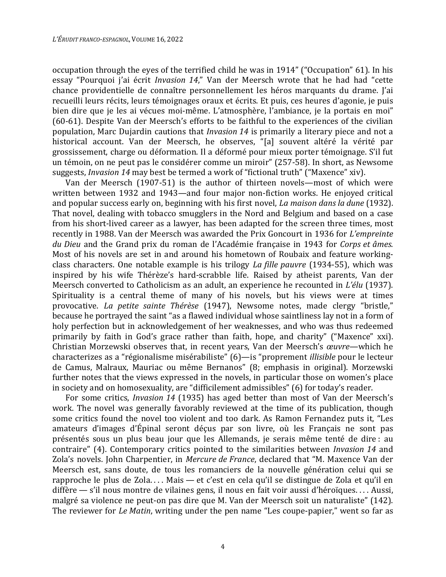occupation through the eyes of the terrified child he was in 1914" ("Occupation" 61). In his essay "Pourquoi j'ai écrit *Invasion 14*," Van der Meersch wrote that he had had "cette chance providentielle de connaître personnellement les héros marquants du drame. J'ai recueilli leurs récits, leurs témoignages oraux et écrits. Et puis, ces heures d'agonie, je puis bien dire que je les ai vécues moi-même. L'atmosphère, l'ambiance, je la portais en moi" (60-61). Despite Van der Meersch's efforts to be faithful to the experiences of the civilian population, Marc Dujardin cautions that *Invasion 14* is primarily a literary piece and not a historical account. Van der Meersch, he observes, "[a] souvent altéré la vérité par grossissement, charge ou déformation. Il a déformé pour mieux porter témoignage. S'il fut un témoin, on ne peut pas le considérer comme un miroir" (257-58). In short, as Newsome suggests, *Invasion 14* may best be termed a work of "fictional truth" ("Maxence" xiv).

Van der Meersch (1907-51) is the author of thirteen novels—most of which were written between 1932 and 1943—and four major non-fiction works. He enjoyed critical and popular success early on, beginning with his first novel, *La maison dans la dune* (1932). That novel, dealing with tobacco smugglers in the Nord and Belgium and based on a case from his short-lived career as a lawyer, has been adapted for the screen three times, most recently in 1988. Van der Meersch was awarded the Prix Goncourt in 1936 for *L'empreinte du Dieu* and the Grand prix du roman de l'Académie française in 1943 for *Corps et âmes*. Most of his novels are set in and around his hometown of Roubaix and feature workingclass characters. One notable example is his trilogy *La fille pauvre* (1934-55), which was inspired by his wife Thérèze's hard-scrabble life. Raised by atheist parents, Van der Meersch converted to Catholicism as an adult, an experience he recounted in *L'élu* (1937). Spirituality is a central theme of many of his novels, but his views were at times provocative. *La petite sainte Thérèse* (1947), Newsome notes, made clergy "bristle," because he portrayed the saint "as a flawed individual whose saintliness lay not in a form of holy perfection but in acknowledgement of her weaknesses, and who was thus redeemed primarily by faith in God's grace rather than faith, hope, and charity" ("Maxence" xxi). Christian Morzewski observes that, in recent years, Van der Meersch's *œuvre*—which he characterizes as a "régionalisme misérabiliste" (6)—is "proprement *illisible* pour le lecteur de Camus, Malraux, Mauriac ou même Bernanos" (8; emphasis in original). Morzewski further notes that the views expressed in the novels, in particular those on women's place in society and on homosexuality, are "difficilement admissibles" (6) for today's reader.

For some critics, *Invasion 14* (1935) has aged better than most of Van der Meersch's work. The novel was generally favorably reviewed at the time of its publication, though some critics found the novel too violent and too dark. As Ramon Fernandez puts it, "Les amateurs d'images d'Épinal seront déçus par son livre, où les Français ne sont pas présentés sous un plus beau jour que les Allemands, je serais même tenté de dire : au contraire" (4). Contemporary critics pointed to the similarities between *Invasion 14* and Zola's novels. John Charpentier, in *Mercure de France*, declared that "M. Maxence Van der Meersch est, sans doute, de tous les romanciers de la nouvelle génération celui qui se rapproche le plus de Zola.... Mais — et c'est en cela qu'il se distingue de Zola et qu'il en diffère — s'il nous montre de vilaines gens, il nous en fait voir aussi d'héroïques. . . . Aussi, malgré sa violence ne peut-on pas dire que M. Van der Meersch soit un naturaliste" (142). The reviewer for *Le Matin*, writing under the pen name "Les coupe-papier," went so far as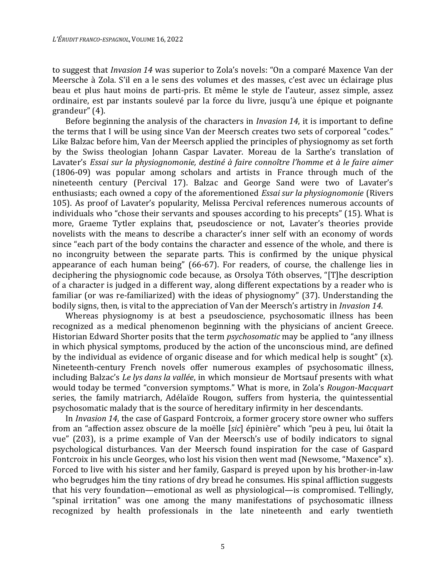to suggest that *Invasion 14* was superior to Zola's novels: "On a comparé Maxence Van der Meersche à Zola. S'il en a le sens des volumes et des masses, c'est avec un éclairage plus beau et plus haut moins de parti-pris. Et même le style de l'auteur, assez simple, assez ordinaire, est par instants soulevé par la force du livre, jusqu'à une épique et poignante grandeur" (4).

Before beginning the analysis of the characters in *Invasion 14*, it is important to define the terms that I will be using since Van der Meersch creates two sets of corporeal "codes." Like Balzac before him, Van der Meersch applied the principles of physiognomy as set forth by the Swiss theologian Johann Caspar Lavater. Moreau de la Sarthe's translation of Lavater's *Essai sur la physiognomonie, destiné à faire connoître l'homme et à le faire aimer* (1806-09) was popular among scholars and artists in France through much of the nineteenth century (Percival 17). Balzac and George Sand were two of Lavater's enthusiasts; each owned a copy of the aforementioned *Essai sur la physiognomonie* (Rivers 105). As proof of Lavater's popularity, Melissa Percival references numerous accounts of individuals who "chose their servants and spouses according to his precepts" (15). What is more, Graeme Tytler explains that, pseudoscience or not, Lavater's theories provide novelists with the means to describe a character's inner self with an economy of words since "each part of the body contains the character and essence of the whole, and there is no incongruity between the separate parts. This is confirmed by the unique physical appearance of each human being" (66-67). For readers, of course, the challenge lies in deciphering the physiognomic code because, as Orsolya Tóth observes, "[T]he description of a character is judged in a different way, along different expectations by a reader who is familiar (or was re-familiarized) with the ideas of physiognomy" (37). Understanding the bodily signs, then, is vital to the appreciation of Van der Meersch's artistry in *Invasion 14*.

Whereas physiognomy is at best a pseudoscience, psychosomatic illness has been recognized as a medical phenomenon beginning with the physicians of ancient Greece. Historian Edward Shorter posits that the term *psychosomatic* may be applied to "any illness in which physical symptoms, produced by the action of the unconscious mind, are defined by the individual as evidence of organic disease and for which medical help is sought" (x). Nineteenth-century French novels offer numerous examples of psychosomatic illness, including Balzac's *Le lys dans la vallée*, in which monsieur de Mortsauf presents with what would today be termed "conversion symptoms." What is more, in Zola's *Rougon-Macquart* series, the family matriarch, Adélaïde Rougon, suffers from hysteria, the quintessential psychosomatic malady that is the source of hereditary infirmity in her descendants.

In *Invasion 14*, the case of Gaspard Fontcroix, a former grocery store owner who suffers from an "affection assez obscure de la moëlle [*sic*] épinière" which "peu à peu, lui ôtait la vue" (203), is a prime example of Van der Meersch's use of bodily indicators to signal psychological disturbances. Van der Meersch found inspiration for the case of Gaspard Fontcroix in his uncle Georges, who lost his vision then went mad (Newsome, "Maxence" x). Forced to live with his sister and her family, Gaspard is preyed upon by his brother-in-law who begrudges him the tiny rations of dry bread he consumes. His spinal affliction suggests that his very foundation—emotional as well as physiological—is compromised. Tellingly, "spinal irritation" was one among the many manifestations of psychosomatic illness recognized by health professionals in the late nineteenth and early twentieth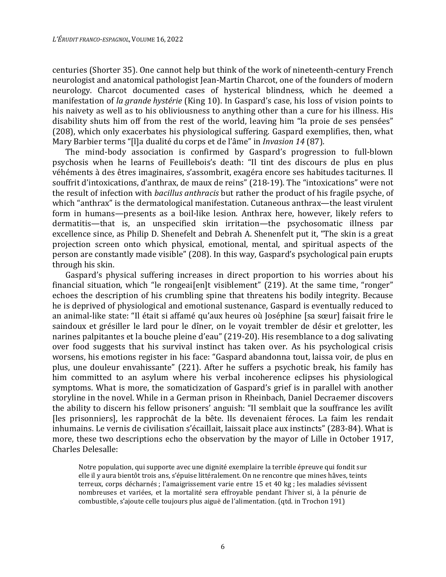centuries (Shorter 35). One cannot help but think of the work of nineteenth-century French neurologist and anatomical pathologist Jean-Martin Charcot, one of the founders of modern neurology. Charcot documented cases of hysterical blindness, which he deemed a manifestation of *la grande hystérie* (King 10). In Gaspard's case, his loss of vision points to his naivety as well as to his obliviousness to anything other than a cure for his illness. His disability shuts him off from the rest of the world, leaving him "la proie de ses pensées" (208), which only exacerbates his physiological suffering. Gaspard exemplifies, then, what Mary Barbier terms "[l]a dualité du corps et de l'âme" in *Invasion 14* (87).

The mind-body association is confirmed by Gaspard's progression to full-blown psychosis when he learns of Feuillebois's death: "Il tint des discours de plus en plus véhéments à des êtres imaginaires, s'assombrit, exagéra encore ses habitudes taciturnes. Il souffrit d'intoxications, d'anthrax, de maux de reins" (218-19). The "intoxications" were not the result of infection with *bacillus anthracis* but rather the product of his fragile psyche, of which "anthrax" is the dermatological manifestation. Cutaneous anthrax—the least virulent form in humans—presents as a boil-like lesion. Anthrax here, however, likely refers to dermatitis—that is, an unspecified skin irritation—the psychosomatic illness par excellence since, as Philip D. Shenefelt and Debrah A. Shenenfelt put it, "The skin is a great projection screen onto which physical, emotional, mental, and spiritual aspects of the person are constantly made visible" (208). In this way, Gaspard's psychological pain erupts through his skin.

Gaspard's physical suffering increases in direct proportion to his worries about his financial situation, which "le rongeai[en]t visiblement" (219). At the same time, "ronger" echoes the description of his crumbling spine that threatens his bodily integrity. Because he is deprived of physiological and emotional sustenance, Gaspard is eventually reduced to an animal-like state: "Il était si affamé qu'aux heures où Joséphine [sa sœur] faisait frire le saindoux et grésiller le lard pour le dîner, on le voyait trembler de désir et grelotter, les narines palpitantes et la bouche pleine d'eau" (219-20). His resemblance to a dog salivating over food suggests that his survival instinct has taken over. As his psychological crisis worsens, his emotions register in his face: "Gaspard abandonna tout, laissa voir, de plus en plus, une douleur envahissante" (221). After he suffers a psychotic break, his family has him committed to an asylum where his verbal incoherence eclipses his physiological symptoms. What is more, the somaticization of Gaspard's grief is in parallel with another storyline in the novel. While in a German prison in Rheinbach, Daniel Decraemer discovers the ability to discern his fellow prisoners' anguish: "Il semblait que la souffrance les avilît [les prisonniers], les rapprochât de la bête. lIs devenaient féroces. La faim les rendait inhumains. Le vernis de civilisation s'écaillait, laissait place aux instincts" (283-84). What is more, these two descriptions echo the observation by the mayor of Lille in October 1917, Charles Delesalle:

Notre population, qui supporte avec une dignité exemplaire la terrible épreuve qui fondit sur elle il y aura bientôt trois ans, s'épuise littéralement. On ne rencontre que mines hâves, teints terreux, corps décharnés ; l'amaigrissement varie entre 15 et 40 kg ; les maladies sévissent nombreuses et variées, et la mortalité sera effroyable pendant l'hiver si, à la pénurie de combustible, s'ajoute celle toujours plus aiguë de l'alimentation. (qtd. in Trochon 191)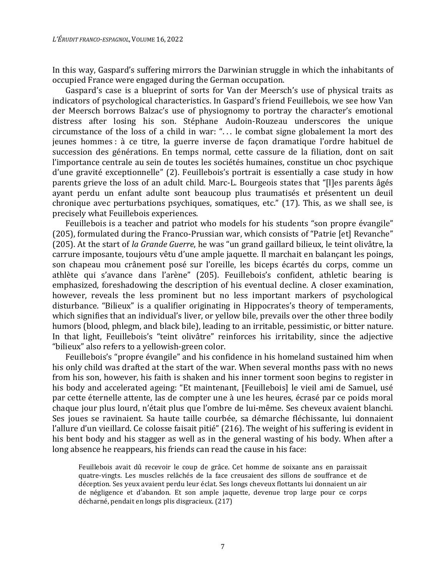In this way, Gaspard's suffering mirrors the Darwinian struggle in which the inhabitants of occupied France were engaged during the German occupation.

Gaspard's case is a blueprint of sorts for Van der Meersch's use of physical traits as indicators of psychological characteristics. In Gaspard's friend Feuillebois, we see how Van der Meersch borrows Balzac's use of physiognomy to portray the character's emotional distress after losing his son. Stéphane Audoin-Rouzeau underscores the unique circumstance of the loss of a child in war: ". . . le combat signe globalement la mort des jeunes hommes : à ce titre, la guerre inverse de façon dramatique l'ordre habituel de succession des générations. En temps normal, cette cassure de la filiation, dont on sait l'importance centrale au sein de toutes les sociétés humaines, constitue un choc psychique d'une gravité exceptionnelle" (2). Feuillebois's portrait is essentially a case study in how parents grieve the loss of an adult child. Marc-L. Bourgeois states that "[l]es parents âgés ayant perdu un enfant adulte sont beaucoup plus traumatisés et présentent un deuil chronique avec perturbations psychiques, somatiques, etc." (17). This, as we shall see, is precisely what Feuillebois experiences.

Feuillebois is a teacher and patriot who models for his students "son propre évangile" (205), formulated during the Franco-Prussian war, which consists of "Patrie [et] Revanche" (205). At the start of *la Grande Guerre*, he was "un grand gaillard bilieux, le teint olivâtre, la carrure imposante, toujours vêtu d'une ample jaquette. Il marchait en balançant les poings, son chapeau mou crânement posé sur l'oreille, les biceps écartés du corps, comme un athlète qui s'avance dans l'arène" (205). Feuillebois's confident, athletic bearing is emphasized, foreshadowing the description of his eventual decline. A closer examination, however, reveals the less prominent but no less important markers of psychological disturbance. "Bilieux" is a qualifier originating in Hippocrates's theory of temperaments, which signifies that an individual's liver, or yellow bile, prevails over the other three bodily humors (blood, phlegm, and black bile), leading to an irritable, pessimistic, or bitter nature. In that light, Feuillebois's "teint olivâtre" reinforces his irritability, since the adjective "bilieux" also refers to a yellowish-green color.

Feuillebois's "propre évangile" and his confidence in his homeland sustained him when his only child was drafted at the start of the war. When several months pass with no news from his son, however, his faith is shaken and his inner torment soon begins to register in his body and accelerated ageing: "Et maintenant, [Feuillebois] le vieil ami de Samuel, usé par cette éternelle attente, las de compter une à une les heures, écrasé par ce poids moral chaque jour plus lourd, n'était plus que l'ombre de lui-même. Ses cheveux avaient blanchi. Ses joues se ravinaient. Sa haute taille courbée, sa démarche fléchissante, lui donnaient l'allure d'un vieillard. Ce colosse faisait pitié" (216). The weight of his suffering is evident in his bent body and his stagger as well as in the general wasting of his body. When after a long absence he reappears, his friends can read the cause in his face:

Feuillebois avait dû recevoir le coup de grâce. Cet homme de soixante ans en paraissait quatre-vingts. Les muscles relâchés de la face creusaient des sillons de souffrance et de déception. Ses yeux avaient perdu leur éclat. Ses longs cheveux flottants lui donnaient un air de négligence et d'abandon. Et son ample jaquette, devenue trop large pour ce corps décharné, pendait en longs plis disgracieux. (217)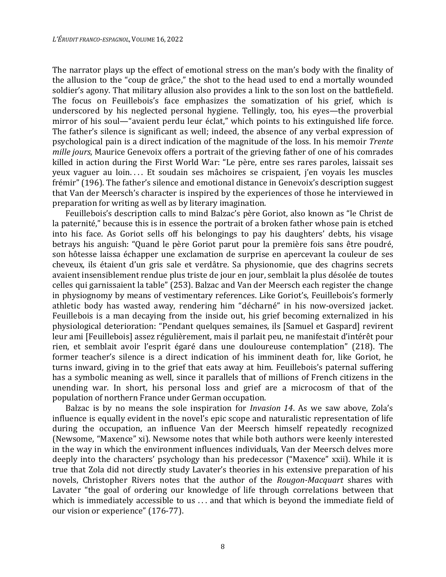The narrator plays up the effect of emotional stress on the man's body with the finality of the allusion to the "coup de grâce," the shot to the head used to end a mortally wounded soldier's agony. That military allusion also provides a link to the son lost on the battlefield. The focus on Feuillebois's face emphasizes the somatization of his grief, which is underscored by his neglected personal hygiene. Tellingly, too, his eyes—the proverbial mirror of his soul—"avaient perdu leur éclat," which points to his extinguished life force. The father's silence is significant as well; indeed, the absence of any verbal expression of psychological pain is a direct indication of the magnitude of the loss. In his memoir *Trente mille jours*, Maurice Genevoix offers a portrait of the grieving father of one of his comrades killed in action during the First World War: "Le père, entre ses rares paroles, laissait ses yeux vaguer au loin. . . . Et soudain ses mâchoires se crispaient, j'en voyais les muscles frémir" (196). The father's silence and emotional distance in Genevoix's description suggest that Van der Meersch's character is inspired by the experiences of those he interviewed in preparation for writing as well as by literary imagination.

Feuillebois's description calls to mind Balzac's père Goriot, also known as "le Christ de la paternité," because this is in essence the portrait of a broken father whose pain is etched into his face. As Goriot sells off his belongings to pay his daughters' debts, his visage betrays his anguish: "Quand le père Goriot parut pour la première fois sans être poudré, son hôtesse laissa échapper une exclamation de surprise en apercevant la couleur de ses cheveux, ils étaient d'un gris sale et verdâtre. Sa physionomie, que des chagrins secrets avaient insensiblement rendue plus triste de jour en jour, semblait la plus désolée de toutes celles qui garnissaient la table" (253). Balzac and Van der Meersch each register the change in physiognomy by means of vestimentary references. Like Goriot's, Feuillebois's formerly athletic body has wasted away, rendering him "décharné" in his now-oversized jacket. Feuillebois is a man decaying from the inside out, his grief becoming externalized in his physiological deterioration: "Pendant quelques semaines, ils [Samuel et Gaspard] revirent leur ami [Feuillebois] assez régulièrement, mais il parlait peu, ne manifestait d'intérêt pour rien, et semblait avoir l'esprit égaré dans une douloureuse contemplation" (218). The former teacher's silence is a direct indication of his imminent death for, like Goriot, he turns inward, giving in to the grief that eats away at him. Feuillebois's paternal suffering has a symbolic meaning as well, since it parallels that of millions of French citizens in the unending war. In short, his personal loss and grief are a microcosm of that of the population of northern France under German occupation.

Balzac is by no means the sole inspiration for *Invasion 14*. As we saw above, Zola's influence is equally evident in the novel's epic scope and naturalistic representation of life during the occupation, an influence Van der Meersch himself repeatedly recognized (Newsome, "Maxence" xi). Newsome notes that while both authors were keenly interested in the way in which the environment influences individuals, Van der Meersch delves more deeply into the characters' psychology than his predecessor ("Maxence" xxii). While it is true that Zola did not directly study Lavater's theories in his extensive preparation of his novels, Christopher Rivers notes that the author of the *Rougon-Macquart* shares with Lavater "the goal of ordering our knowledge of life through correlations between that which is immediately accessible to us ... and that which is beyond the immediate field of our vision or experience" (176-77).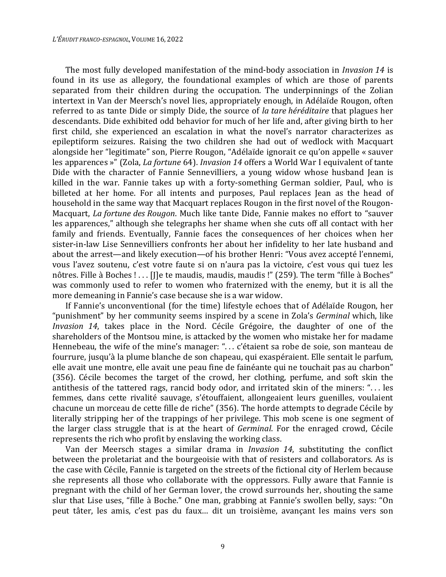The most fully developed manifestation of the mind-body association in *Invasion 14* is found in its use as allegory, the foundational examples of which are those of parents separated from their children during the occupation. The underpinnings of the Zolian intertext in Van der Meersch's novel lies, appropriately enough, in Adélaïde Rougon, often referred to as tante Dide or simply Dide, the source of *la tare héréditaire* that plagues her descendants. Dide exhibited odd behavior for much of her life and, after giving birth to her first child, she experienced an escalation in what the novel's narrator characterizes as epileptiform seizures. Raising the two children she had out of wedlock with Macquart alongside her "legitimate" son, Pierre Rougon, "Adélaïde ignorait ce qu'on appelle « sauver les apparences »" (Zola, *La fortune* 64). *Invasion 14* offers a World War I equivalent of tante Dide with the character of Fannie Sennevilliers, a young widow whose husband Jean is killed in the war. Fannie takes up with a forty-something German soldier, Paul, who is billeted at her home. For all intents and purposes, Paul replaces Jean as the head of household in the same way that Macquart replaces Rougon in the first novel of the Rougon-Macquart, *La fortune des Rougon*. Much like tante Dide, Fannie makes no effort to "sauver les apparences," although she telegraphs her shame when she cuts off all contact with her family and friends. Eventually, Fannie faces the consequences of her choices when her sister-in-law Lise Sennevilliers confronts her about her infidelity to her late husband and about the arrest—and likely execution—of his brother Henri: "Vous avez accepté l'ennemi, vous l'avez soutenu, c'est votre faute si on n'aura pas la victoire, c'est vous qui tuez les nôtres. Fille à Boches ! . . . [J]e te maudis, maudis, maudis !" (259). The term "fille à Boches" was commonly used to refer to women who fraternized with the enemy, but it is all the more demeaning in Fannie's case because she is a war widow.

If Fannie's unconventional (for the time) lifestyle echoes that of Adélaïde Rougon, her "punishment" by her community seems inspired by a scene in Zola's *Germinal* which, like *Invasion 14*, takes place in the Nord. Cécile Grégoire, the daughter of one of the shareholders of the Montsou mine, is attacked by the women who mistake her for madame Hennebeau, the wife of the mine's manager: ". . . c'étaient sa robe de soie, son manteau de fourrure, jusqu'à la plume blanche de son chapeau, qui exaspéraient. Elle sentait le parfum, elle avait une montre, elle avait une peau fine de fainéante qui ne touchait pas au charbon" (356). Cécile becomes the target of the crowd, her clothing, perfume, and soft skin the antithesis of the tattered rags, rancid body odor, and irritated skin of the miners: ". . . les femmes, dans cette rivalité sauvage, s'étouffaient, allongeaient leurs guenilles, voulaient chacune un morceau de cette fille de riche" (356). The horde attempts to degrade Cécile by literally stripping her of the trappings of her privilege. This mob scene is one segment of the larger class struggle that is at the heart of *Germinal*. For the enraged crowd, Cécile represents the rich who profit by enslaving the working class.

Van der Meersch stages a similar drama in *Invasion 14*, substituting the conflict between the proletariat and the bourgeoisie with that of resisters and collaborators. As is the case with Cécile, Fannie is targeted on the streets of the fictional city of Herlem because she represents all those who collaborate with the oppressors. Fully aware that Fannie is pregnant with the child of her German lover, the crowd surrounds her, shouting the same slur that Lise uses, "fille à Boche." One man, grabbing at Fannie's swollen belly, says: "On peut tâter, les amis, c'est pas du faux… dit un troisième, avançant les mains vers son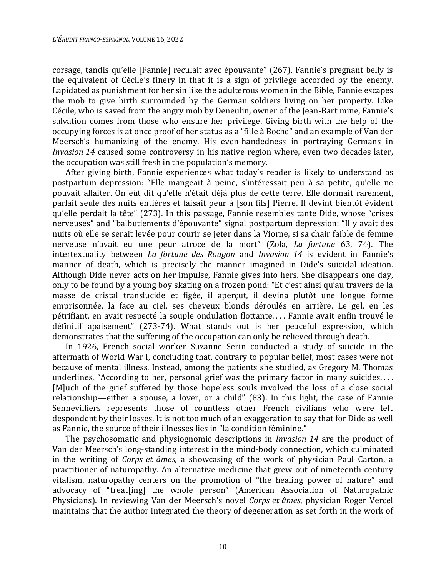corsage, tandis qu'elle [Fannie] reculait avec épouvante" (267). Fannie's pregnant belly is the equivalent of Cécile's finery in that it is a sign of privilege accorded by the enemy. Lapidated as punishment for her sin like the adulterous women in the Bible, Fannie escapes the mob to give birth surrounded by the German soldiers living on her property. Like Cécile, who is saved from the angry mob by Deneulin, owner of the Jean-Bart mine, Fannie's salvation comes from those who ensure her privilege. Giving birth with the help of the occupying forces is at once proof of her status as a "fille à Boche" and an example of Van der Meersch's humanizing of the enemy. His even-handedness in portraying Germans in *Invasion 14* caused some controversy in his native region where, even two decades later, the occupation was still fresh in the population's memory.

After giving birth, Fannie experiences what today's reader is likely to understand as postpartum depression: "Elle mangeait à peine, s'intéressait peu à sa petite, qu'elle ne pouvait allaiter. On eût dit qu'elle n'était déjà plus de cette terre. Elle dormait rarement, parlait seule des nuits entières et faisait peur à [son fils] Pierre. Il devint bientôt évident qu'elle perdait la tête" (273). In this passage, Fannie resembles tante Dide, whose "crises nerveuses" and "balbutiements d'épouvante" signal postpartum depression: "Il y avait des nuits où elle se serait levée pour courir se jeter dans la Viorne, si sa chair faible de femme nerveuse n'avait eu une peur atroce de la mort" (Zola, *La fortune* 63, 74). The intertextuality between *La fortune des Rougon* and *Invasion 14* is evident in Fannie's manner of death, which is precisely the manner imagined in Dide's suicidal ideation. Although Dide never acts on her impulse, Fannie gives into hers. She disappears one day, only to be found by a young boy skating on a frozen pond: "Et c'est ainsi qu'au travers de la masse de cristal translucide et figée, il aperçut, il devina plutôt une longue forme emprisonnée, la face au ciel, ses cheveux blonds déroulés en arrière. Le gel, en les pétrifiant, en avait respecté la souple ondulation flottante. . . . Fannie avait enfin trouvé le définitif apaisement" (273-74). What stands out is her peaceful expression, which demonstrates that the suffering of the occupation can only be relieved through death.

In 1926, French social worker Suzanne Serin conducted a study of suicide in the aftermath of World War I, concluding that, contrary to popular belief, most cases were not because of mental illness. Instead, among the patients she studied, as Gregory M. Thomas underlines, "According to her, personal grief was the primary factor in many suicides.... [M]uch of the grief suffered by those hopeless souls involved the loss of a close social relationship—either a spouse, a lover, or a child" (83). In this light, the case of Fannie Sennevilliers represents those of countless other French civilians who were left despondent by their losses. It is not too much of an exaggeration to say that for Dide as well as Fannie, the source of their illnesses lies in "la condition féminine."

The psychosomatic and physiognomic descriptions in *Invasion 14* are the product of Van der Meersch's long-standing interest in the mind-body connection, which culminated in the writing of *Corps et âmes*, a showcasing of the work of physician Paul Carton, a practitioner of naturopathy. An alternative medicine that grew out of nineteenth-century vitalism, naturopathy centers on the promotion of "the healing power of nature" and advocacy of "treat[ing] the whole person" (American Association of Naturopathic Physicians). In reviewing Van der Meersch's novel *Corps et âmes*, physician Roger Vercel maintains that the author integrated the theory of degeneration as set forth in the work of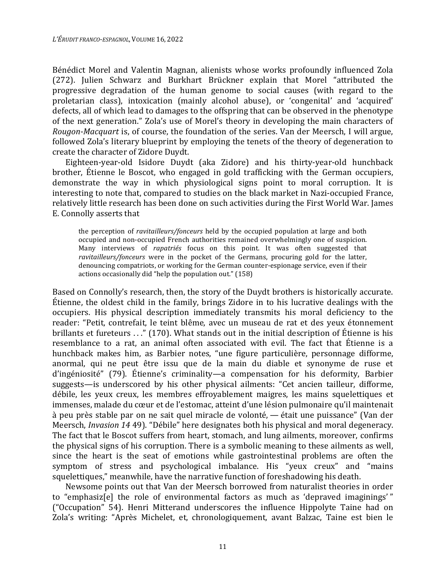Bénédict Morel and Valentin Magnan, alienists whose works profoundly influenced Zola (272). Julien Schwarz and Burkhart Brückner explain that Morel "attributed the progressive degradation of the human genome to social causes (with regard to the proletarian class), intoxication (mainly alcohol abuse), or 'congenital' and 'acquired' defects, all of which lead to damages to the offspring that can be observed in the phenotype of the next generation." Zola's use of Morel's theory in developing the main characters of *Rougon-Macquart* is, of course, the foundation of the series. Van der Meersch, I will argue, followed Zola's literary blueprint by employing the tenets of the theory of degeneration to create the character of Zidore Duydt.

Eighteen-year-old Isidore Duydt (aka Zidore) and his thirty-year-old hunchback brother, Étienne le Boscot, who engaged in gold trafficking with the German occupiers, demonstrate the way in which physiological signs point to moral corruption. It is interesting to note that, compared to studies on the black market in Nazi-occupied France, relatively little research has been done on such activities during the First World War. James E. Connolly asserts that

the perception of *ravitailleurs/fonceurs* held by the occupied population at large and both occupied and non-occupied French authorities remained overwhelmingly one of suspicion. Many interviews of *rapatriés* focus on this point. It was often suggested that *ravitailleurs/fonceurs* were in the pocket of the Germans, procuring gold for the latter, denouncing compatriots, or working for the German counter-espionage service, even if their actions occasionally did "help the population out." (158)

Based on Connolly's research, then, the story of the Duydt brothers is historically accurate. Étienne, the oldest child in the family, brings Zidore in to his lucrative dealings with the occupiers. His physical description immediately transmits his moral deficiency to the reader: "Petit, contrefait, le teint blême, avec un museau de rat et des yeux étonnement brillants et fureteurs . . ." (170). What stands out in the initial description of Étienne is his resemblance to a rat, an animal often associated with evil. The fact that Étienne is a hunchback makes him, as Barbier notes, "une figure particulière, personnage difforme, anormal, qui ne peut être issu que de la main du diable et synonyme de ruse et d'ingéniosité" (79). Étienne's criminality—a compensation for his deformity, Barbier suggests—is underscored by his other physical ailments: "Cet ancien tailleur, difforme, débile, les yeux creux, les membres effroyablement maigres, les mains squelettiques et immenses, malade du cœur et de l'estomac, atteint d'une lésion pulmonaire qu'il maintenait à peu près stable par on ne sait quel miracle de volonté, — était une puissance" (Van der Meersch, *Invasion 14* 49). "Débile" here designates both his physical and moral degeneracy. The fact that le Boscot suffers from heart, stomach, and lung ailments, moreover, confirms the physical signs of his corruption. There is a symbolic meaning to these ailments as well, since the heart is the seat of emotions while gastrointestinal problems are often the symptom of stress and psychological imbalance. His "yeux creux" and "mains squelettiques," meanwhile, have the narrative function of foreshadowing his death.

Newsome points out that Van der Meersch borrowed from naturalist theories in order to "emphasiz[e] the role of environmental factors as much as 'depraved imaginings' " ("Occupation" 54). Henri Mitterand underscores the influence Hippolyte Taine had on Zola's writing: "Après Michelet, et, chronologiquement, avant Balzac, Taine est bien le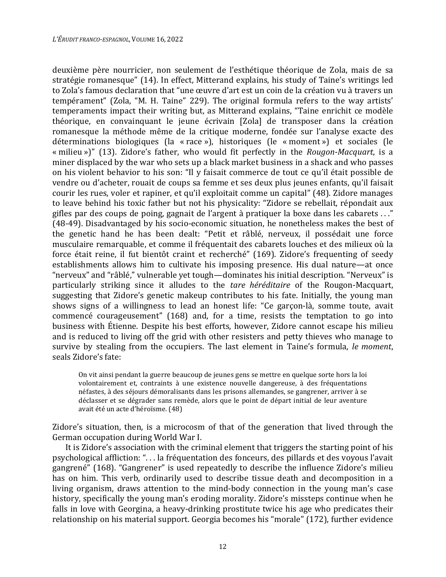deuxième père nourricier, non seulement de l'esthétique théorique de Zola, mais de sa stratégie romanesque" (14). In effect, Mitterand explains, his study of Taine's writings led to Zola's famous declaration that "une œuvre d'art est un coin de la création vu à travers un tempérament" (Zola, "M. H. Taine" 229). The original formula refers to the way artists' temperaments impact their writing but, as Mitterand explains, "Taine enrichit ce modèle théorique, en convainquant le jeune écrivain [Zola] de transposer dans la création romanesque la méthode même de la critique moderne, fondée sur l'analyse exacte des déterminations biologiques (la « race »), historiques (le « moment ») et sociales (le « milieu »)" (13). Zidore's father, who would fit perfectly in the *Rougon-Macquart*, is a miner displaced by the war who sets up a black market business in a shack and who passes on his violent behavior to his son: "Il y faisait commerce de tout ce qu'il était possible de vendre ou d'acheter, rouait de coups sa femme et ses deux plus jeunes enfants, qu'il faisait courir les rues, voler et rapiner, et qu'il exploitait comme un capital" (48). Zidore manages to leave behind his toxic father but not his physicality: "Zidore se rebellait, répondait aux gifles par des coups de poing, gagnait de l'argent à pratiquer la boxe dans les cabarets . . ." (48-49). Disadvantaged by his socio-economic situation, he nonetheless makes the best of the genetic hand he has been dealt: "Petit et râblé, nerveux, il possédait une force musculaire remarquable, et comme il fréquentait des cabarets louches et des milieux où la force était reine, il fut bientôt craint et recherché" (169). Zidore's frequenting of seedy establishments allows him to cultivate his imposing presence. His dual nature—at once "nerveux" and "râblé," vulnerable yet tough—dominates his initial description. "Nerveux" is particularly striking since it alludes to the *tare héréditaire* of the Rougon-Macquart, suggesting that Zidore's genetic makeup contributes to his fate. Initially, the young man shows signs of a willingness to lead an honest life: "Ce garçon-là, somme toute, avait commencé courageusement" (168) and, for a time, resists the temptation to go into business with Étienne. Despite his best efforts, however, Zidore cannot escape his milieu and is reduced to living off the grid with other resisters and petty thieves who manage to survive by stealing from the occupiers. The last element in Taine's formula, *le moment*, seals Zidore's fate:

On vit ainsi pendant la guerre beaucoup de jeunes gens se mettre en quelque sorte hors la loi volontairement et, contraints à une existence nouvelle dangereuse, à des fréquentations néfastes, à des séjours démoralisants dans les prisons allemandes, se gangrener, arriver à se déclasser et se dégrader sans remède, alors que le point de départ initial de leur aventure avait été un acte d'héroïsme. (48)

Zidore's situation, then, is a microcosm of that of the generation that lived through the German occupation during World War I.

It is Zidore's association with the criminal element that triggers the starting point of his psychological affliction: ". . . la fréquentation des fonceurs, des pillards et des voyous l'avait gangrené" (168). "Gangrener" is used repeatedly to describe the influence Zidore's milieu has on him. This verb, ordinarily used to describe tissue death and decomposition in a living organism, draws attention to the mind-body connection in the young man's case history, specifically the young man's eroding morality. Zidore's missteps continue when he falls in love with Georgina, a heavy-drinking prostitute twice his age who predicates their relationship on his material support. Georgia becomes his "morale" (172), further evidence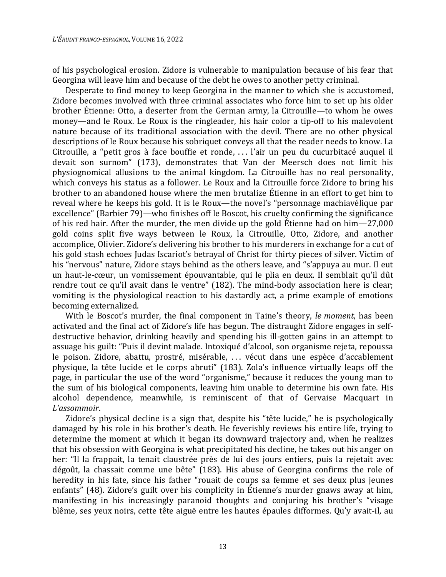of his psychological erosion. Zidore is vulnerable to manipulation because of his fear that Georgina will leave him and because of the debt he owes to another petty criminal.

Desperate to find money to keep Georgina in the manner to which she is accustomed, Zidore becomes involved with three criminal associates who force him to set up his older brother Étienne: Otto, a deserter from the German army, la Citrouille—to whom he owes money—and le Roux. Le Roux is the ringleader, his hair color a tip-off to his malevolent nature because of its traditional association with the devil. There are no other physical descriptions of le Roux because his sobriquet conveys all that the reader needs to know. La Citrouille, a "petit gros à face bouffie et ronde, . . . l'air un peu du cucurbitacé auquel il devait son surnom" (173), demonstrates that Van der Meersch does not limit his physiognomical allusions to the animal kingdom. La Citrouille has no real personality, which conveys his status as a follower. Le Roux and la Citrouille force Zidore to bring his brother to an abandoned house where the men brutalize Étienne in an effort to get him to reveal where he keeps his gold. It is le Roux—the novel's "personnage machiavélique par excellence" (Barbier 79)—who finishes off le Boscot, his cruelty confirming the significance of his red hair. After the murder, the men divide up the gold Étienne had on him—27,000 gold coins split five ways between le Roux, la Citrouille, Otto, Zidore, and another accomplice, Olivier. Zidore's delivering his brother to his murderers in exchange for a cut of his gold stash echoes Judas Iscariot's betrayal of Christ for thirty pieces of silver. Victim of his "nervous" nature, Zidore stays behind as the others leave, and "s'appuya au mur. Il eut un haut-le-cœur, un vomissement épouvantable, qui le plia en deux. Il semblait qu'il dût rendre tout ce qu'il avait dans le ventre" (182). The mind-body association here is clear; vomiting is the physiological reaction to his dastardly act, a prime example of emotions becoming externalized.

With le Boscot's murder, the final component in Taine's theory, *le moment*, has been activated and the final act of Zidore's life has begun. The distraught Zidore engages in selfdestructive behavior, drinking heavily and spending his ill-gotten gains in an attempt to assuage his guilt: "Puis il devint malade. Intoxiqué d'alcool, son organisme rejeta, repoussa le poison. Zidore, abattu, prostré, misérable, . . . vécut dans une espèce d'accablement physique, la tête lucide et le corps abruti" (183). Zola's influence virtually leaps off the page, in particular the use of the word "organisme," because it reduces the young man to the sum of his biological components, leaving him unable to determine his own fate. His alcohol dependence, meanwhile, is reminiscent of that of Gervaise Macquart in *L'assommoir*.

Zidore's physical decline is a sign that, despite his "tête lucide," he is psychologically damaged by his role in his brother's death. He feverishly reviews his entire life, trying to determine the moment at which it began its downward trajectory and, when he realizes that his obsession with Georgina is what precipitated his decline, he takes out his anger on her: "Il la frappait, la tenait claustrée près de lui des jours entiers, puis la rejetait avec dégoût, la chassait comme une bête" (183). His abuse of Georgina confirms the role of heredity in his fate, since his father "rouait de coups sa femme et ses deux plus jeunes enfants" (48). Zidore's guilt over his complicity in Étienne's murder gnaws away at him, manifesting in his increasingly paranoid thoughts and conjuring his brother's "visage blême, ses yeux noirs, cette tête aiguë entre les hautes épaules difformes. Qu'y avait-il, au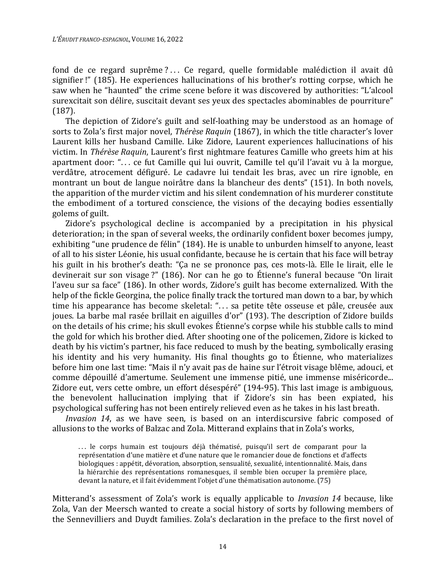fond de ce regard suprême?... Ce regard, quelle formidable malédiction il avait dû signifier !" (185). He experiences hallucinations of his brother's rotting corpse, which he saw when he "haunted" the crime scene before it was discovered by authorities: "L'alcool surexcitait son délire, suscitait devant ses yeux des spectacles abominables de pourriture" (187).

The depiction of Zidore's guilt and self-loathing may be understood as an homage of sorts to Zola's first major novel, *Thérèse Raquin* (1867), in which the title character's lover Laurent kills her husband Camille. Like Zidore, Laurent experiences hallucinations of his victim. In *Thérèse Raquin*, Laurent's first nightmare features Camille who greets him at his apartment door: ". . . ce fut Camille qui lui ouvrit, Camille tel qu'il l'avait vu à la morgue, verdâtre, atrocement défiguré. Le cadavre lui tendait les bras, avec un rire ignoble, en montrant un bout de langue noirâtre dans la blancheur des dents" (151). In both novels, the apparition of the murder victim and his silent condemnation of his murderer constitute the embodiment of a tortured conscience, the visions of the decaying bodies essentially golems of guilt.

Zidore's psychological decline is accompanied by a precipitation in his physical deterioration; in the span of several weeks, the ordinarily confident boxer becomes jumpy, exhibiting "une prudence de félin" (184). He is unable to unburden himself to anyone, least of all to his sister Léonie, his usual confidante, because he is certain that his face will betray his guilt in his brother's death: "Ça ne se prononce pas, ces mots-là. Elle le lirait, elle le devinerait sur son visage ?" (186). Nor can he go to Étienne's funeral because "On lirait l'aveu sur sa face" (186). In other words, Zidore's guilt has become externalized. With the help of the fickle Georgina, the police finally track the tortured man down to a bar, by which time his appearance has become skeletal: "... sa petite tête osseuse et pâle, creusée aux joues. La barbe mal rasée brillait en aiguilles d'or" (193). The description of Zidore builds on the details of his crime; his skull evokes Étienne's corpse while his stubble calls to mind the gold for which his brother died. After shooting one of the policemen, Zidore is kicked to death by his victim's partner, his face reduced to mush by the beating, symbolically erasing his identity and his very humanity. His final thoughts go to Étienne, who materializes before him one last time: "Mais il n'y avait pas de haine sur l'étroit visage blême, adouci, et comme dépouillé d'amertume. Seulement une immense pitié, une immense miséricorde... Zidore eut, vers cette ombre, un effort désespéré" (194-95). This last image is ambiguous, the benevolent hallucination implying that if Zidore's sin has been expiated, his psychological suffering has not been entirely relieved even as he takes in his last breath.

*Invasion 14*, as we have seen, is based on an interdiscursive fabric composed of allusions to the works of Balzac and Zola. Mitterand explains that in Zola's works,

... le corps humain est toujours déjà thématisé, puisqu'il sert de comparant pour la représentation d'une matière et d'une nature que le romancier doue de fonctions et d'affects biologiques : appétit, dévoration, absorption, sensualité, sexualité, intentionnalité. Mais, dans la hiérarchie des représentations romanesques, il semble bien occuper la première place, devant la nature, et il fait évidemment l'objet d'une thématisation autonome. (75)

Mitterand's assessment of Zola's work is equally applicable to *Invasion 14* because, like Zola, Van der Meersch wanted to create a social history of sorts by following members of the Sennevilliers and Duydt families. Zola's declaration in the preface to the first novel of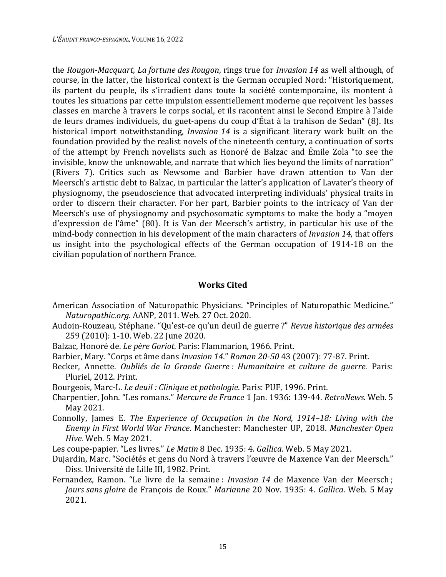the *Rougon-Macquart*, *La fortune des Rougon*, rings true for *Invasion 14* as well although, of course, in the latter, the historical context is the German occupied Nord: "Historiquement, ils partent du peuple, ils s'irradient dans toute la société contemporaine, ils montent à toutes les situations par cette impulsion essentiellement moderne que reçoivent les basses classes en marche à travers le corps social, et ils racontent ainsi le Second Empire à l'aide de leurs drames individuels, du guet-apens du coup d'État à la trahison de Sedan" (8). Its historical import notwithstanding, *Invasion 14* is a significant literary work built on the foundation provided by the realist novels of the nineteenth century, a continuation of sorts of the attempt by French novelists such as Honoré de Balzac and Émile Zola "to see the invisible, know the unknowable, and narrate that which lies beyond the limits of narration" (Rivers 7). Critics such as Newsome and Barbier have drawn attention to Van der Meersch's artistic debt to Balzac, in particular the latter's application of Lavater's theory of physiognomy, the pseudoscience that advocated interpreting individuals' physical traits in order to discern their character. For her part, Barbier points to the intricacy of Van der Meersch's use of physiognomy and psychosomatic symptoms to make the body a "moyen d'expression de l'âme" (80). It is Van der Meersch's artistry, in particular his use of the mind-body connection in his development of the main characters of *Invasion 14*, that offers us insight into the psychological effects of the German occupation of 1914-18 on the civilian population of northern France.

## **Works Cited**

- American Association of Naturopathic Physicians. "Principles of Naturopathic Medicine." *Naturopathic.org*. AANP, 2011. Web. 27 Oct. 2020.
- Audoin-Rouzeau, Stéphane. "Qu'est-ce qu'un deuil de guerre ?" *Revue historique des armées* 259 (2010): 1-10. Web. 22 June 2020.
- Balzac, Honoré de. *Le père Goriot*. Paris: Flammarion, 1966. Print.
- Barbier, Mary. "Corps et âme dans *Invasion 14*." *Roman 20-50* 43 (2007): 77-87. Print.
- Becker, Annette. *Oubliés de la Grande Guerre : Humanitaire et culture de guerre*. Paris: Pluriel, 2012. Print.
- Bourgeois, Marc-L. *Le deuil : Clinique et pathologie*. Paris: PUF, 1996. Print.
- Charpentier, John. "Les romans." *Mercure de France* 1 Jan. 1936: 139-44. *RetroNews*. Web. 5 May 2021.
- Connolly, James E. *The Experience of Occupation in the Nord, 1914–18: Living with the Enemy in First World War France*. Manchester: Manchester UP, 2018. *Manchester Open Hive*. Web. 5 May 2021.
- Les coupe-papier. "Les livres." *Le Matin* 8 Dec. 1935: 4. *Gallica*. Web. 5 May 2021.
- Dujardin, Marc. "Sociétés et gens du Nord à travers l'œuvre de Maxence Van der Meersch." Diss. Université de Lille III, 1982. Print.
- Fernandez, Ramon. "Le livre de la semaine : *Invasion 14* de Maxence Van der Meersch ; *Jours sans gloire* de François de Roux." *Marianne* 20 Nov. 1935: 4. *Gallica*. Web. 5 May 2021.